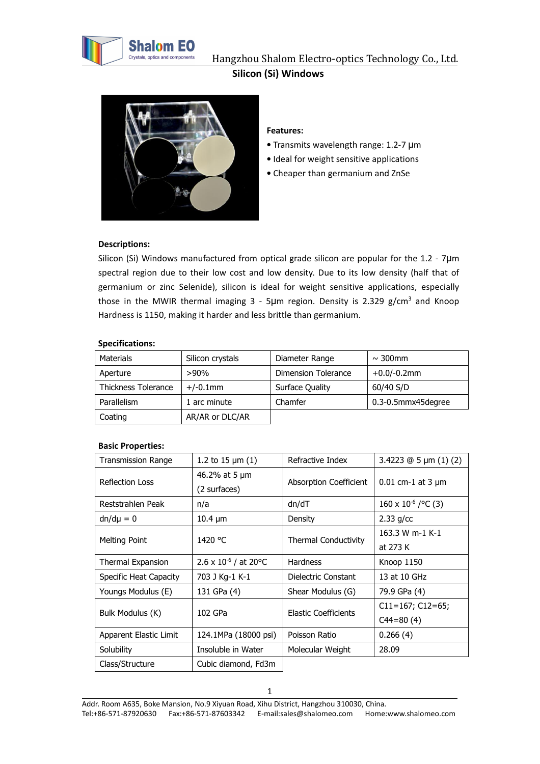



# **Features:**

- Transmits wavelength range: 1.2-7 μm
- Ideal for weight sensitive applications
- Cheaper than germanium and ZnSe

### **Descriptions:**

Silicon (Si) Windows manufactured from optical grade silicon are popular for the 1.2 - 7µm spectral region due to their low cost and low density. Due to its low density (half that of germanium or zinc Selenide), silicon is ideal for weight sensitive applications, especially those in the MWIR thermal imaging  $3$  - 5µm region. Density is 2.329 g/cm<sup>3</sup> and Knoop Hardness is 1150, making it harder and less brittle than germanium.

#### **Specifications:**

| Materials                  | Silicon crystals | Diameter Range      | $\sim$ 300mm       |
|----------------------------|------------------|---------------------|--------------------|
| Aperture                   | $>90\%$          | Dimension Tolerance | $+0.0/-0.2$ mm     |
| <b>Thickness Tolerance</b> | $+/-0.1$ mm      | Surface Quality     | 60/40 S/D          |
| Parallelism                | arc minute       | Chamfer             | 0.3-0.5mmx45degree |
| Coating                    | AR/AR or DLC/AR  |                     |                    |

#### **Basic Properties:**

| <b>Transmission Range</b> | 1.2 to 15 $\mu$ m (1)           | Refractive Index            | 3.4223 $@5 \mu m (1) (2)$    |
|---------------------------|---------------------------------|-----------------------------|------------------------------|
| <b>Reflection Loss</b>    | 46.2% at 5 µm                   | Absorption Coefficient      | $0.01$ cm-1 at 3 $\mu$ m     |
|                           | (2 surfaces)                    |                             |                              |
| Reststrahlen Peak         | n/a                             | dn/dT                       | $160 \times 10^{-6}$ /°C (3) |
| $dn/d\mu = 0$             | $10.4 \mu m$                    | Density                     | $2.33$ g/cc                  |
| Melting Point             | 1420 °C                         | <b>Thermal Conductivity</b> | 163.3 W m-1 K-1              |
|                           |                                 |                             | at 273 K                     |
| Thermal Expansion         | $2.6 \times 10^{-6}$ / at 20 °C | <b>Hardness</b>             | Knoop 1150                   |
| Specific Heat Capacity    | 703 J Kg-1 K-1                  | Dielectric Constant         | 13 at 10 GHz                 |
| Youngs Modulus (E)        | 131 GPa (4)                     | Shear Modulus (G)           | 79.9 GPa (4)                 |
| Bulk Modulus (K)          | 102 GPa                         | <b>Elastic Coefficients</b> | $C11=167; C12=65;$           |
|                           |                                 |                             | $C44 = 80(4)$                |
| Apparent Elastic Limit    | 124.1MPa (18000 psi)            | Poisson Ratio               | 0.266(4)                     |
| Solubility                | Insoluble in Water              | Molecular Weight            | 28.09                        |
| Class/Structure           | Cubic diamond, Fd3m             |                             |                              |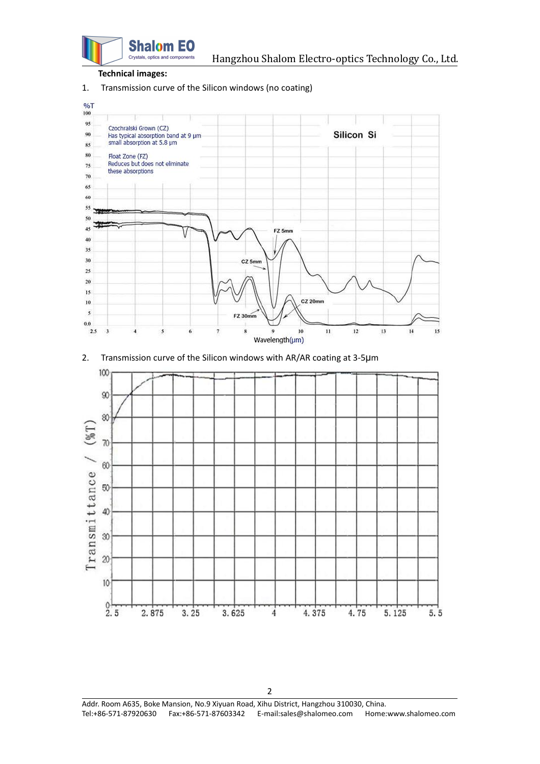

#### **Technical images:**

1. Transmission curve of the Silicon windows (no coating)



2. Transmission curve of the Silicon windows with AR/AR coating at 3-5µm



Addr. Room A635, Boke Mansion, No.9 Xiyuan Road, Xihu District, Hangzhou 310030, China. Tel:+86-571-87920630 Fax:+86-571-87603342 E-mail:sales@shalomeo.com Home:www.shalomeo.com